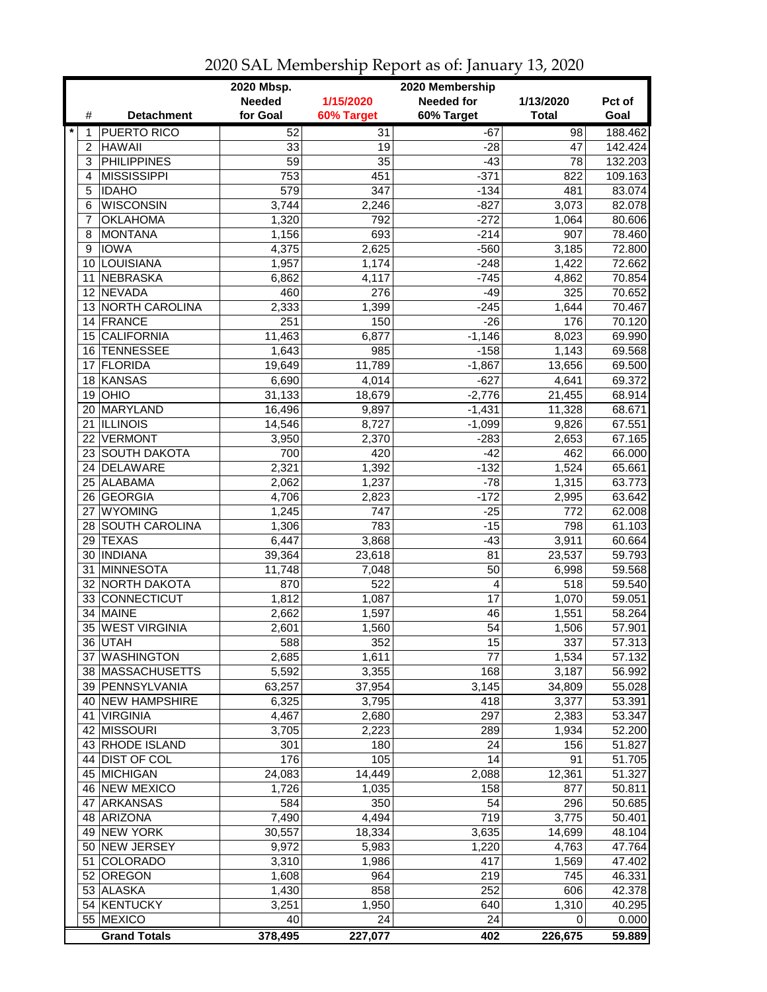|         |                                       | 2020 Mbsp.      |                  | 2020 Membership   |                |                  |
|---------|---------------------------------------|-----------------|------------------|-------------------|----------------|------------------|
|         |                                       | <b>Needed</b>   | 1/15/2020        | <b>Needed for</b> | 1/13/2020      | Pct of           |
| #       | <b>Detachment</b>                     | for Goal        | 60% Target       | 60% Target        | <b>Total</b>   | Goal             |
| $\star$ | <b>PUERTO RICO</b>                    | 52              | 31               | $-67$             | 98             | 188.462          |
| 2       | <b>HAWAII</b>                         | 33              | 19               | $-28$             | 47             | 142.424          |
| 3       | <b>PHILIPPINES</b>                    | $\overline{59}$ | 35               | $-43$             | 78             | 132.203          |
| 4       | <b>MISSISSIPPI</b>                    | 753             | 451              | $-371$            | 822            | 109.163          |
| 5       | <b>IDAHO</b>                          | 579             | 347              | $-134$            | 481            | 83.074           |
| 6       | <b>WISCONSIN</b>                      | 3,744           | 2,246            | $-827$            | 3,073          | 82.078           |
| 7       | <b>OKLAHOMA</b>                       | 1,320           | 792              | $-272$            | 1,064          | 80.606           |
| 8       | <b>MONTANA</b>                        | 1,156           | 693              | $-214$            | 907            | 78.460           |
| 9       | <b>IOWA</b>                           | 4,375           | 2,625            | $-560$            | 3,185          | 72.800           |
| 10      | LOUISIANA                             | 1,957           | 1,174            | $-248$            | 1,422          | 72.662           |
| 11      | <b>NEBRASKA</b>                       | 6,862           | 4,117            | $-745$            | 4,862          | 70.854           |
|         | 12 NEVADA                             | 460             | 276              | $-49$             | 325            | 70.652           |
|         | 13 NORTH CAROLINA                     | 2,333           | 1,399            | $-245$            | 1,644          | 70.467           |
|         | 14 FRANCE                             | 251             | 150              | $-26$             | 176            | 70.120           |
| 15      | <b>CALIFORNIA</b>                     | 11,463          | 6,877            | $-1,146$          | 8,023          | 69.990           |
|         | 16 TENNESSEE                          | 1,643           | 985              | $-158$            | 1,143          | 69.568           |
| 17      | <b>FLORIDA</b>                        | 19,649          | 11,789           | $-1,867$          | 13,656         | 69.500           |
| 18      | KANSAS                                | 6,690           | 4,014            | $-627$            | 4,641          | 69.372           |
| 19      | OHIO                                  | 31,133          | 18,679           | $-2,776$          | 21,455         | 68.914           |
|         | 20 MARYLAND                           | 16,496          | 9,897            | $-1,431$          | 11,328         | 68.671           |
|         | 21 ILLINOIS                           | 14,546          | 8,727            | $-1,099$          | 9,826          | 67.551           |
|         | 22 VERMONT                            | 3,950           | 2,370            | $-283$            | 2,653          | 67.165           |
|         | 23 SOUTH DAKOTA                       | 700             | 420              | $-42$             | 462            | 66.000           |
|         | 24 DELAWARE                           | 2,321           | 1,392            | $-132$            | 1,524          | 65.661           |
|         | 25 ALABAMA                            | 2,062           | 1,237            | $-78$             | 1,315          | 63.773           |
|         | 26 GEORGIA                            | 4,706           | 2,823            | $-172$            | 2,995          | 63.642           |
| 27      | <b>WYOMING</b>                        | 1,245           | 747              | $-25$             | 772            | 62.008           |
| 28      | <b>SOUTH CAROLINA</b>                 | 1,306           | 783              | $-15$             | 798            | 61.103           |
|         | 29 TEXAS                              | 6,447           | 3,868            | $-43$             | 3,911          | 60.664           |
| 30      | <b>INDIANA</b>                        | 39,364          | 23,618           | 81                | 23,537         | 59.793           |
| 31      | MINNESOTA                             | 11,748          | 7,048            | 50                | 6,998          | 59.568           |
|         | 32 NORTH DAKOTA                       | 870             | 522              | 4                 | 518            | 59.540           |
|         | 33 CONNECTICUT                        | 1,812           | 1,087            | 17                | 1,070          | 59.051           |
| 34      | <b>MAINE</b>                          | 2,662           | 1,597            | 46                | 1,551          | 58.264           |
|         | 35 WEST VIRGINIA                      | 2,601           | 1,560            | 54                | 1,506          | 57.901           |
|         | 36 UTAH                               | 588             | $\overline{352}$ | $\overline{15}$   | 337            | 57.313           |
|         | 37 WASHINGTON                         | 2,685           | 1,611            | 77                | 1,534          | 57.132           |
|         | 38 MASSACHUSETTS                      | 5,592           | 3,355            | 168<br>3,145      | 3,187          | 56.992           |
|         | 39   PENNSYLVANIA<br>40 NEW HAMPSHIRE | 63,257<br>6,325 | 37,954           | 418               | 34,809         | 55.028           |
|         | 41 VIRGINIA                           | 4,467           | 3,795<br>2,680   | 297               | 3,377<br>2,383 | 53.391<br>53.347 |
|         | 42 MISSOURI                           | 3,705           | 2,223            | 289               | 1,934          | 52.200           |
|         | 43 RHODE ISLAND                       | 301             | 180              | 24                | 156            | 51.827           |
| 44      | <b>DIST OF COL</b>                    | 176             | 105              | 14                | 91             | 51.705           |
|         | 45 MICHIGAN                           | 24,083          | 14,449           | 2,088             | 12,361         | 51.327           |
|         | 46 NEW MEXICO                         | 1,726           | 1,035            | 158               | 877            | 50.811           |
|         | 47 ARKANSAS                           | 584             | 350              | 54                | 296            | 50.685           |
|         | 48 ARIZONA                            | 7,490           | 4,494            | 719               | 3,775          | 50.401           |
|         | 49 NEW YORK                           | 30,557          | 18,334           | 3,635             | 14,699         | 48.104           |
|         | 50 NEW JERSEY                         | 9,972           | 5,983            | 1,220             | 4,763          | 47.764           |
| 51      | <b>COLORADO</b>                       | 3,310           | 1,986            | 417               | 1,569          | 47.402           |
|         | 52 OREGON                             | 1,608           | 964              | 219               | 745            | 46.331           |
|         | 53 ALASKA                             | 1,430           | 858              | 252               | 606            | 42.378           |
|         | 54 KENTUCKY                           | 3,251           | 1,950            | 640               | 1,310          | 40.295           |
|         | 55 MEXICO                             | 40              | 24               | 24                | 0              | 0.000            |
|         | <b>Grand Totals</b>                   | 378,495         | 227,077          | 402               | 226,675        | 59.889           |

2020 SAL Membership Report as of: January 13, 2020